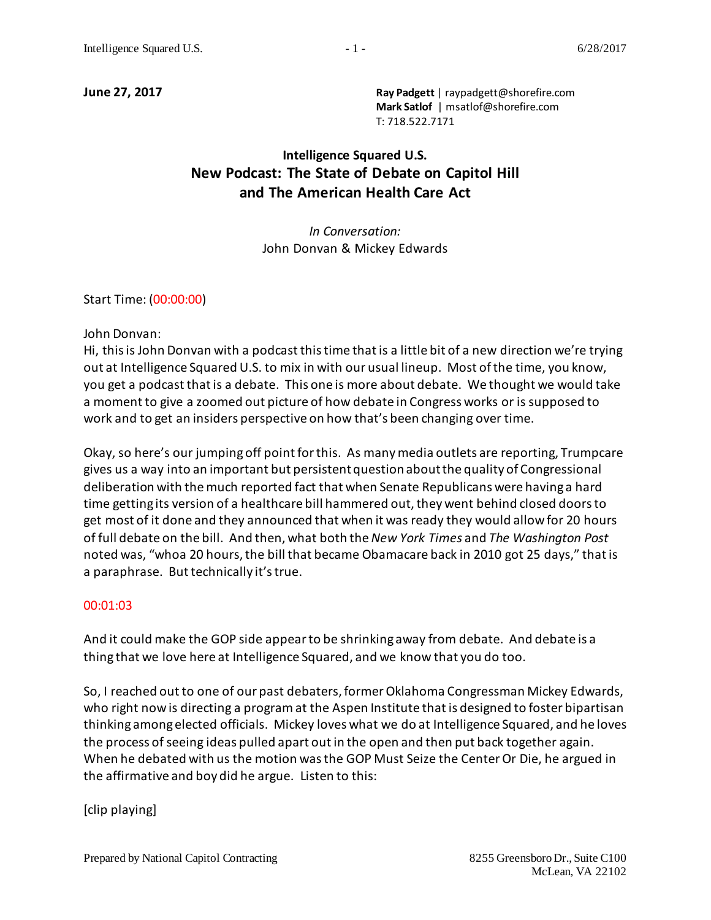**June 27, 2017 Ray Padgett** | raypadgett@shorefire.com **Mark Satlof** | msatlof@shorefire.com T: 718.522.7171

# **Intelligence Squared U.S. New Podcast: The State of Debate on Capitol Hill and The American Health Care Act**

*In Conversation:*  John Donvan & Mickey Edwards

Start Time: (00:00:00)

John Donvan:

Hi, this is John Donvan with a podcast this time that is a little bit of a new direction we're trying out at Intelligence Squared U.S. to mix in with our usual lineup. Most of the time, you know, you get a podcast that is a debate. This one is more about debate. We thought we would take a moment to give a zoomed out picture of how debate in Congress works or is supposed to work and to get an insiders perspective on how that's been changing over time.

Okay, so here's our jumping off point for this. As many media outlets are reporting, Trumpcare gives us a way into an important but persistent question about the quality of Congressional deliberation with the much reported fact that when Senate Republicans were having a hard time getting its version of a healthcare bill hammered out, they went behind closed doors to get most of it done and they announced that when it was ready they would allow for 20 hours of full debate on the bill. And then, what both the *New York Times* and *The Washington Post* noted was, "whoa 20 hours, the bill that became Obamacare back in 2010 got 25 days," that is a paraphrase. But technically it's true.

#### 00:01:03

And it could make the GOP side appear to be shrinking away from debate. And debate is a thing that we love here at Intelligence Squared, and we know that you do too.

So, I reached out to one of our past debaters, former Oklahoma Congressman Mickey Edwards, who right now is directing a program at the Aspen Institute that is designed to foster bipartisan thinking among elected officials. Mickey loves what we do at Intelligence Squared, and he loves the process of seeing ideas pulled apart out in the open and then put back together again. When he debated with us the motion was the GOP Must Seize the Center Or Die, he argued in the affirmative and boy did he argue. Listen to this:

[clip playing]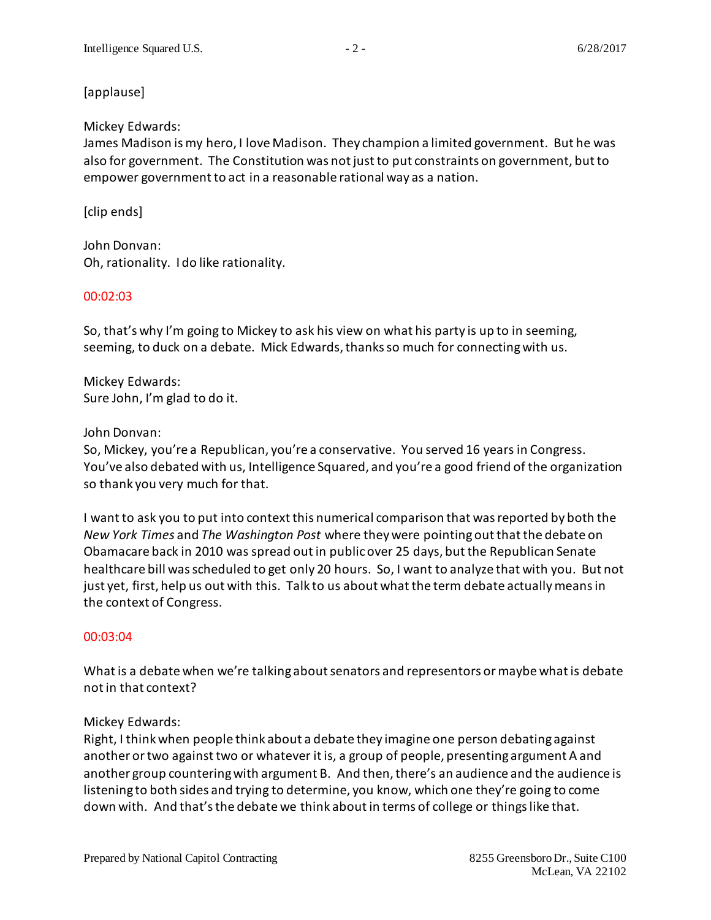# [applause]

# Mickey Edwards:

James Madison is my hero, I love Madison. They champion a limited government. But he was also for government. The Constitution was not just to put constraints on government, but to empower government to act in a reasonable rational way as a nation.

# [clip ends]

John Donvan: Oh, rationality. I do like rationality.

### 00:02:03

So, that's why I'm going to Mickey to ask his view on what his party is up to in seeming, seeming, to duck on a debate. Mick Edwards,thanks so much for connecting with us.

Mickey Edwards: Sure John, I'm glad to do it.

### John Donvan:

So, Mickey, you're a Republican, you're a conservative. You served 16 years in Congress. You've also debated with us, Intelligence Squared, and you're a good friend of the organization so thank you very much for that.

I want to ask you to put into context this numerical comparison that was reported by both the *New York Times* and *The Washington Post* where they were pointing out that the debate on Obamacare back in 2010 was spread out in public over 25 days, but the Republican Senate healthcare bill was scheduled to get only 20 hours. So, I want to analyze that with you. But not just yet, first, help us out with this. Talk to us about what the term debate actually means in the context of Congress.

# 00:03:04

What is a debate when we're talking about senators and representors or maybe what is debate not in that context?

# Mickey Edwards:

Right, I think when people think about a debate they imagine one person debating against another or two against two or whatever it is, a group of people, presenting argument A and another group countering with argument B. And then, there's an audience and the audience is listening to both sides and trying to determine, you know, which one they're going to come down with. And that's the debate we think about in terms of college or things like that.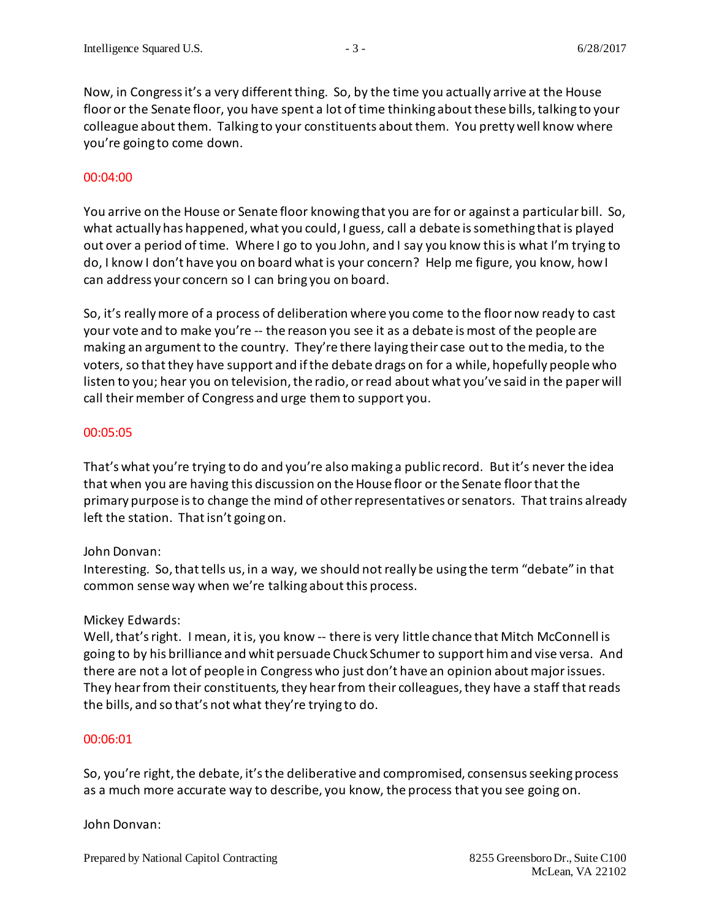Now, in Congress it's a very different thing. So, by the time you actually arrive at the House floor or the Senate floor, you have spent a lot of time thinking about these bills, talking to your colleague about them. Talking to your constituents about them. You pretty well know where you're going to come down.

#### 00:04:00

You arrive on the House or Senate floor knowing that you are for or against a particular bill. So, what actually has happened, what you could, I guess, call a debate is something that is played out over a period of time. Where I go to you John, and I say you know this is what I'm trying to do, I know I don't have you on board what is your concern? Help me figure, you know, how I can address your concern so I can bring you on board.

So, it's really more of a process of deliberation where you come to the floor now ready to cast your vote and to make you're -- the reason you see it as a debate is most of the people are making an argument to the country. They're there laying their case outto the media, to the voters, so that they have support and if the debate drags on for a while, hopefully people who listen to you; hear you on television, the radio, or read about what you've said in the paper will call their member of Congress and urge them to support you.

#### 00:05:05

That's what you're trying to do and you're also making a public record. But it's never the idea that when you are having this discussion on the House floor or the Senate floor that the primary purpose is to change the mind of other representatives or senators. That trains already left the station. That isn't going on.

#### John Donvan:

Interesting. So,that tells us, in a way, we should not really be using the term "debate" in that common sense way when we're talking about this process.

#### Mickey Edwards:

Well, that's right. I mean, it is, you know -- there is very little chance that Mitch McConnell is going to by his brilliance and whit persuade Chuck Schumer to support him and vise versa. And there are not a lot of people in Congress who just don't have an opinion about major issues. They hear from their constituents, they hear from their colleagues, they have a staff that reads the bills, and so that's not what they're trying to do.

#### 00:06:01

So, you're right, the debate, it's the deliberative and compromised, consensus seeking process as a much more accurate way to describe, you know, the process that you see going on.

#### John Donvan: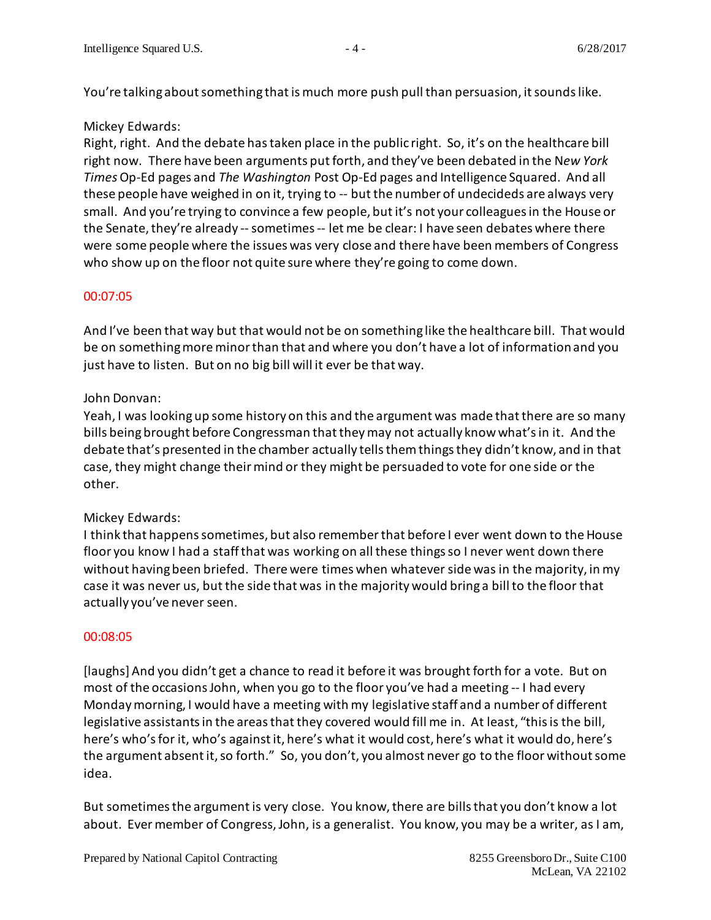You're talking about something that is much more push pull than persuasion, it sounds like.

# Mickey Edwards:

Right, right. And the debate has taken place in the public right. So, it's on the healthcare bill right now. There have been arguments put forth, and they've been debated in the N*ew York Times*Op-Ed pages and *The Washington* Post Op-Ed pages and Intelligence Squared. And all these people have weighed in on it, trying to -- but the number of undecideds are always very small. And you're trying to convince a few people, but it's not your colleaguesin the House or the Senate, they're already -- sometimes -- let me be clear: I have seen debates where there were some people where the issues was very close and there have been members of Congress who show up on the floor not quite sure where they're going to come down.

# 00:07:05

And I've been that way but that would not be on something like the healthcare bill. That would be on something more minor than that and where you don't have a lot of information and you just have to listen. But on no big bill will it ever be that way.

# John Donvan:

Yeah, I was looking up some history on this and the argument was made that there are so many bills being brought before Congressman that they may not actually know what's in it. And the debate that's presented in the chamber actually tells them things they didn't know, and in that case, they might change their mind or they might be persuaded to vote for one side or the other.

# Mickey Edwards:

I think that happens sometimes, but also remember that before I ever went down to the House floor you know I had a staff that was working on all these things so I never went down there without having been briefed. There were times when whatever side was in the majority, in my case it was never us, but the side that was in the majority would bring a bill to the floor that actually you've never seen.

# 00:08:05

[laughs] And you didn't get a chance to read it before it was brought forth for a vote. But on most of the occasions John, when you go to the floor you've had a meeting -- I had every Monday morning, I would have a meeting with my legislative staff and a number of different legislative assistants in the areas that they covered would fill me in. At least, "this is the bill, here's who'sfor it, who's againstit, here's what it would cost, here's what it would do, here's the argument absent it, so forth." So, you don't, you almost never go to the floor without some idea.

But sometimes the argument is very close. You know, there are bills that you don't know a lot about. Ever member of Congress,John, is a generalist. You know, you may be a writer, as I am,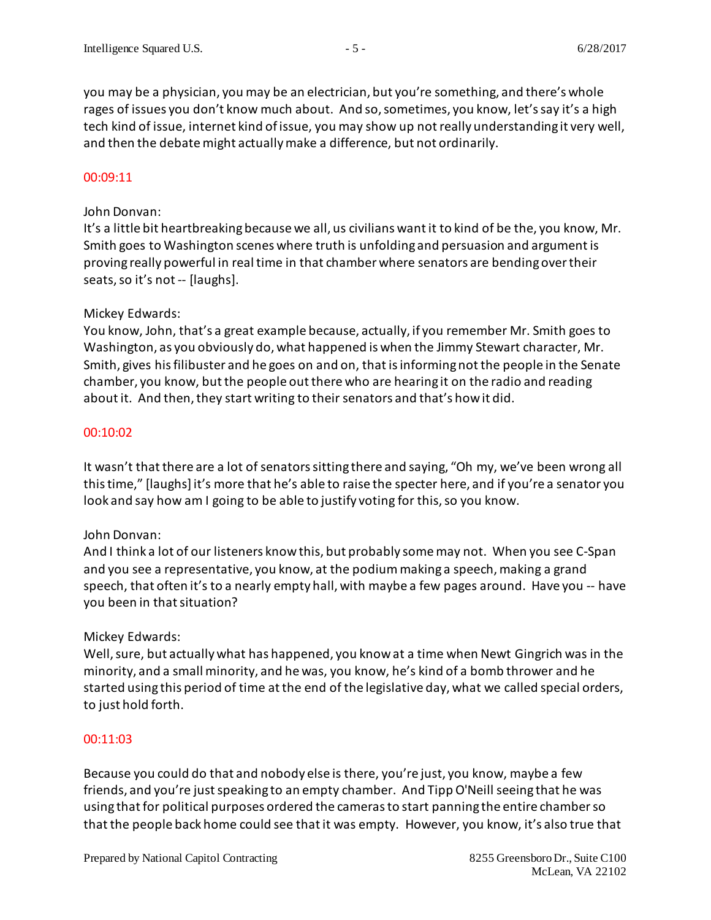you may be a physician, you may be an electrician, but you're something, and there's whole rages of issues you don't know much about. And so, sometimes, you know, let's say it's a high tech kind of issue, internet kind of issue, you may show up not really understanding it very well, and then the debate might actually make a difference, but not ordinarily.

#### 00:09:11

#### John Donvan:

It's a little bit heartbreaking because we all, us civilians want it to kind of be the, you know, Mr. Smith goes to Washington scenes where truth is unfolding and persuasion and argument is proving really powerful in real time in that chamber where senators are bending over their seats, so it's not -- [laughs].

### Mickey Edwards:

You know, John, that's a great example because, actually, if you remember Mr. Smith goes to Washington, as you obviously do, what happened is when the Jimmy Stewart character, Mr. Smith, gives his filibuster and he goes on and on, that is informing not the people in the Senate chamber, you know, but the people out there who are hearing it on the radio and reading about it. And then, they start writing to their senators and that's how it did.

### 00:10:02

It wasn't that there are a lot of senators sitting there and saying, "Oh my, we've been wrong all this time," [laughs] it's more that he's able to raise the specter here, and if you're a senator you look and say how am I going to be able to justify voting for this, so you know.

# John Donvan:

And I think a lot of our listeners know this, but probably some may not. When you see C-Span and you see a representative, you know, at the podium making a speech, making a grand speech, that often it's to a nearly empty hall, with maybe a few pages around. Have you -- have you been in that situation?

#### Mickey Edwards:

Well, sure, but actually what has happened, you know at a time when Newt Gingrich was in the minority, and a small minority, and he was, you know, he's kind of a bomb thrower and he started using this period of time at the end of the legislative day, what we called special orders, to just hold forth.

#### 00:11:03

Because you could do that and nobody else is there, you're just, you know, maybe a few friends, and you're just speaking to an empty chamber. And Tipp O'Neill seeing that he was using that for political purposes ordered the camerasto start panning the entire chamber so that the people back home could see that it was empty. However, you know, it's also true that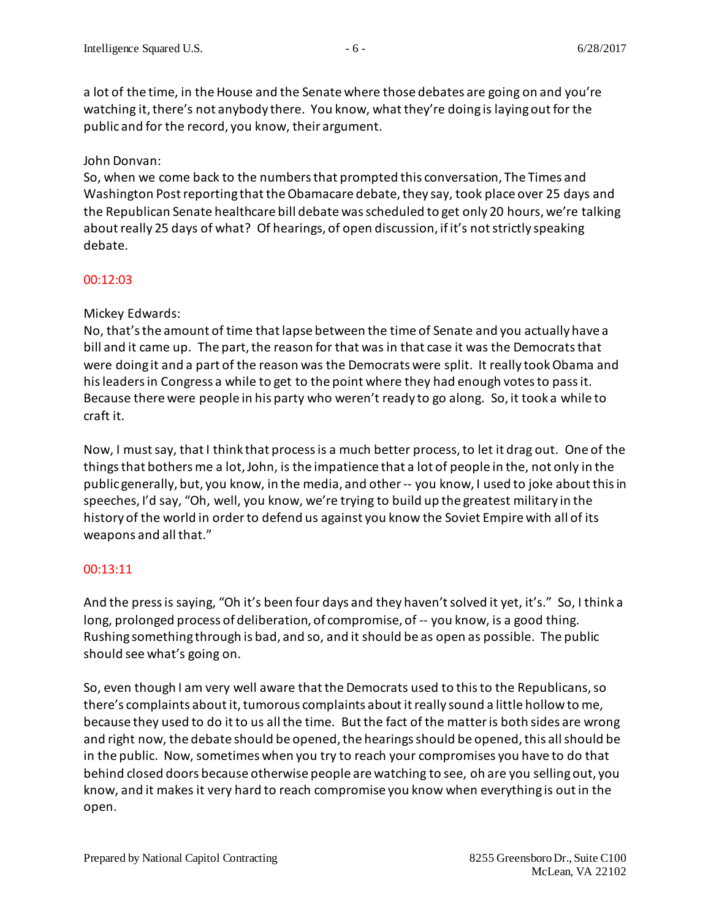a lot of the time, in the House and the Senate where those debates are going on and you're watching it, there's not anybody there. You know, what they're doing is laying out for the public and for the record, you know, their argument.

### John Donvan:

So, when we come back to the numbers that prompted this conversation, The Times and Washington Post reporting that the Obamacare debate, they say, took place over 25 days and the Republican Senate healthcare bill debate was scheduled to get only 20 hours, we're talking about really 25 days of what? Of hearings, of open discussion, if it's not strictly speaking debate.

### 00:12:03

# Mickey Edwards:

No, that's the amount of time that lapse between the time of Senate and you actually have a bill and it came up. The part, the reason for that was in that case it was the Democrats that were doing it and a part of the reason was the Democrats were split. It really took Obama and his leaders in Congress a while to get to the point where they had enough votes to pass it. Because there were people in his party who weren't ready to go along. So, it took a while to craft it.

Now, I must say, that I think that process is a much better process, to let it drag out. One of the things that bothers me a lot,John, is the impatience that a lot of people in the, not only in the public generally, but, you know, in the media, and other -- you know, I used to joke about this in speeches, I'd say, "Oh, well, you know, we're trying to build up the greatest military in the history of the world in order to defend us against you know the Soviet Empire with all of its weapons and all that."

# 00:13:11

And the press is saying, "Oh it's been four days and they haven't solved it yet, it's." So, I think a long, prolonged process of deliberation, of compromise, of -- you know, is a good thing. Rushing something through is bad, and so, and it should be as open as possible. The public should see what's going on.

So, even though I am very well aware that the Democrats used to this to the Republicans, so there's complaints about it, tumorous complaints about it really sound a little hollow to me, because they used to do it to us all the time. But the fact of the matter is both sides are wrong and right now, the debate should be opened, the hearingsshould be opened, this all should be in the public. Now, sometimes when you try to reach your compromises you have to do that behind closed doors because otherwise people are watching to see, oh are you selling out, you know, and it makes it very hard to reach compromise you know when everything is out in the open.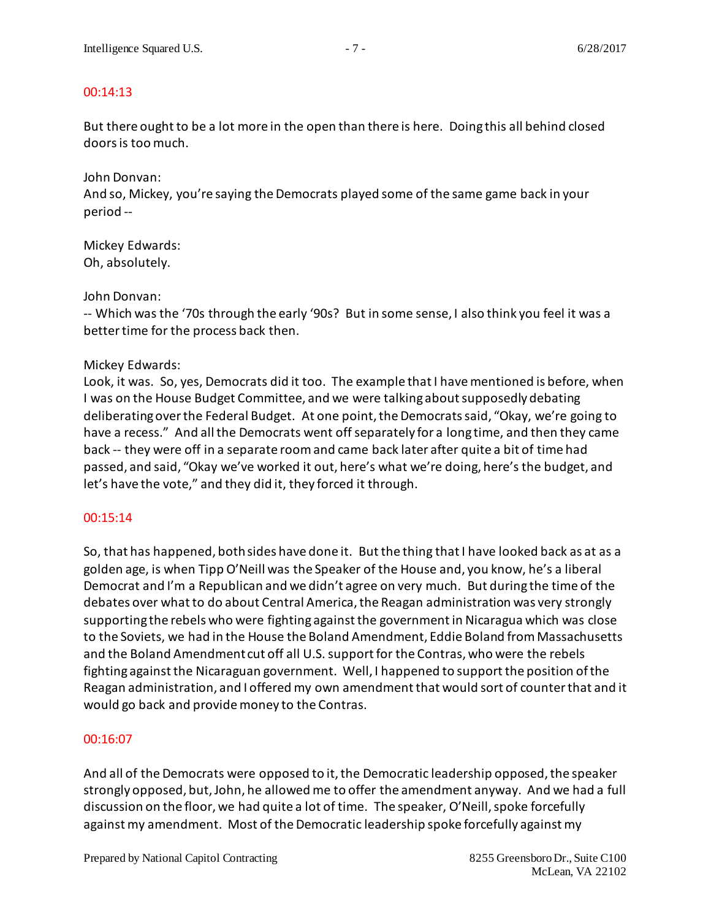### 00:14:13

But there ought to be a lot more in the open than there is here. Doing this all behind closed doors is too much.

John Donvan:

And so, Mickey, you're saying the Democrats played some of the same game back in your period --

Mickey Edwards: Oh, absolutely.

#### John Donvan:

-- Which was the '70s through the early '90s? But in some sense, I also think you feel it was a better time for the process back then.

### Mickey Edwards:

Look, it was. So, yes, Democrats did it too. The example that I have mentioned is before, when I was on the House Budget Committee, and we were talking about supposedly debating deliberating over the Federal Budget. At one point, the Democrats said, "Okay, we're going to have a recess." And all the Democrats went off separately for a long time, and then they came back -- they were off in a separate room and came back later after quite a bit of time had passed, and said, "Okay we've worked it out, here's what we're doing, here's the budget, and let's have the vote," and they did it, they forced it through.

# 00:15:14

So, that has happened, both sides have done it. Butthe thing that I have looked back as at as a golden age, is when Tipp O'Neill was the Speaker of the House and, you know, he's a liberal Democrat and I'm a Republican and we didn't agree on very much. But during the time of the debates over what to do about Central America, the Reagan administration was very strongly supporting the rebels who were fighting against the government in Nicaragua which was close to the Soviets, we had in the House the Boland Amendment, Eddie Boland from Massachusetts and the Boland Amendment cut off all U.S. support for the Contras, who were the rebels fighting against the Nicaraguan government. Well, I happened to support the position of the Reagan administration, and I offered my own amendment that would sort of counter that and it would go back and provide money to the Contras.

#### 00:16:07

And all of the Democrats were opposed to it, the Democratic leadership opposed, the speaker strongly opposed, but, John, he allowed me to offer the amendment anyway. And we had a full discussion on the floor, we had quite a lot of time. The speaker, O'Neill, spoke forcefully against my amendment. Most of the Democratic leadership spoke forcefully against my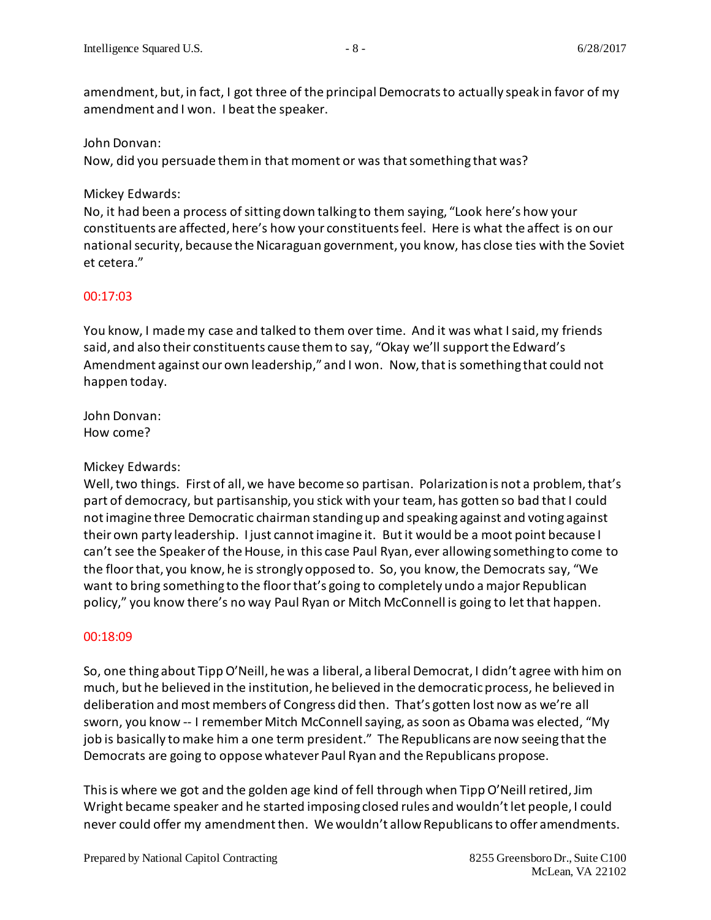amendment, but, in fact, I got three of the principal Democratsto actually speak in favor of my amendment and I won. I beat the speaker.

### John Donvan:

Now, did you persuade them in that moment or was that something that was?

# Mickey Edwards:

No, it had been a process of sitting down talking to them saying, "Look here's how your constituents are affected, here's how your constituentsfeel. Here is what the affect is on our national security, because the Nicaraguan government, you know, has close ties with the Soviet et cetera."

# 00:17:03

You know, I made my case and talked to them over time. And it was what I said, my friends said, and also their constituents cause them to say, "Okay we'll support the Edward's Amendment against our own leadership," and I won. Now,that is something that could not happen today.

John Donvan: How come?

# Mickey Edwards:

Well, two things. First of all, we have become so partisan. Polarization is not a problem, that's part of democracy, but partisanship, you stick with your team, has gotten so bad that I could not imagine three Democratic chairman standing up and speaking against and voting against their own party leadership. I just cannotimagine it. But it would be a moot point because I can't see the Speaker of the House, in this case Paul Ryan, ever allowing something to come to the floor that, you know, he is strongly opposed to. So, you know,the Democrats say, "We want to bring something to the floor that's going to completely undo a major Republican policy," you know there's no way Paul Ryan or Mitch McConnell is going to let that happen.

# 00:18:09

So, one thing about Tipp O'Neill, he was a liberal, a liberal Democrat, I didn't agree with him on much, but he believed in the institution, he believed in the democratic process, he believed in deliberation and most members of Congress did then. That's gotten lost now as we're all sworn, you know -- I remember Mitch McConnellsaying, as soon as Obama was elected, "My job is basically to make him a one term president." The Republicans are now seeing that the Democrats are going to oppose whatever Paul Ryan and the Republicans propose.

This is where we got and the golden age kind of fell through when Tipp O'Neill retired, Jim Wright became speaker and he started imposing closed rules and wouldn't let people, I could never could offer my amendmentthen. We wouldn't allow Republicans to offer amendments.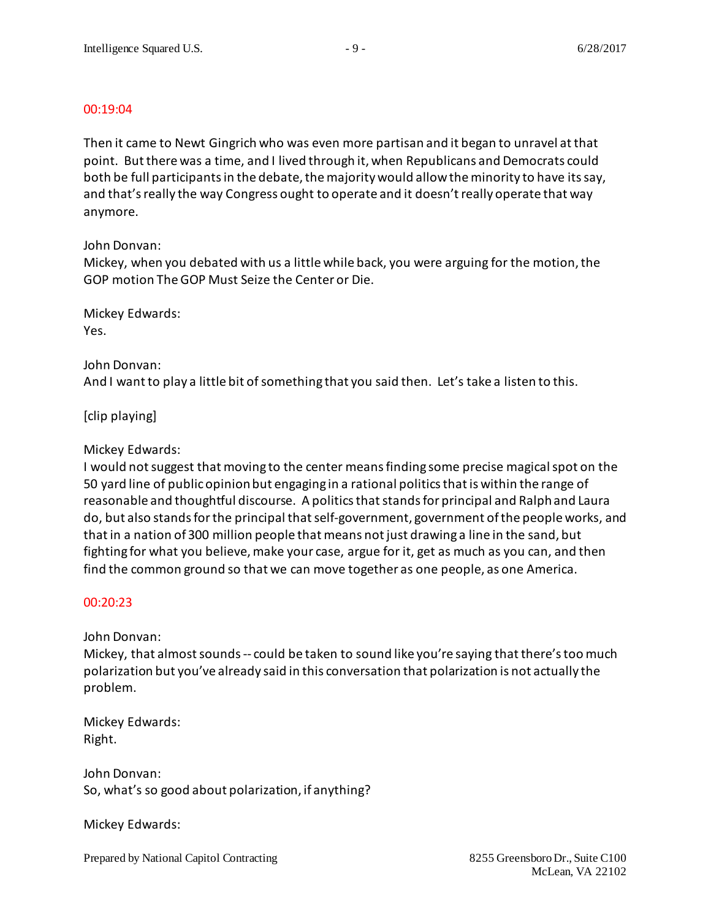#### 00:19:04

Then it came to Newt Gingrich who was even more partisan and it began to unravel at that point. But there was a time, and I lived through it, when Republicans and Democrats could both be full participants in the debate, the majority would allowthe minority to have itssay, and that's really the way Congress ought to operate and it doesn't really operate that way anymore.

### John Donvan:

Mickey, when you debated with us a little while back, you were arguing for the motion, the GOP motion The GOP Must Seize the Center or Die.

Mickey Edwards: Yes.

### John Donvan:

And I want to play a little bit of something that you said then. Let's take a listen to this.

[clip playing]

# Mickey Edwards:

I would not suggest that moving to the center means finding some precise magical spot on the 50 yard line of public opinion but engaging in a rational politics that is within the range of reasonable and thoughtful discourse. A politics that stands for principal and Ralph and Laura do, but also stands for the principal that self-government, government of the people works, and that in a nation of 300 million people that means not just drawing a line in the sand, but fighting for what you believe, make your case, argue for it, get as much as you can, and then find the common ground so that we can move together as one people, as one America.

# 00:20:23

John Donvan:

Mickey, that almost sounds -- could be taken to sound like you're saying that there's too much polarization but you've already said in this conversation that polarization is not actually the problem.

Mickey Edwards: Right.

John Donvan: So, what's so good about polarization, if anything?

Mickey Edwards: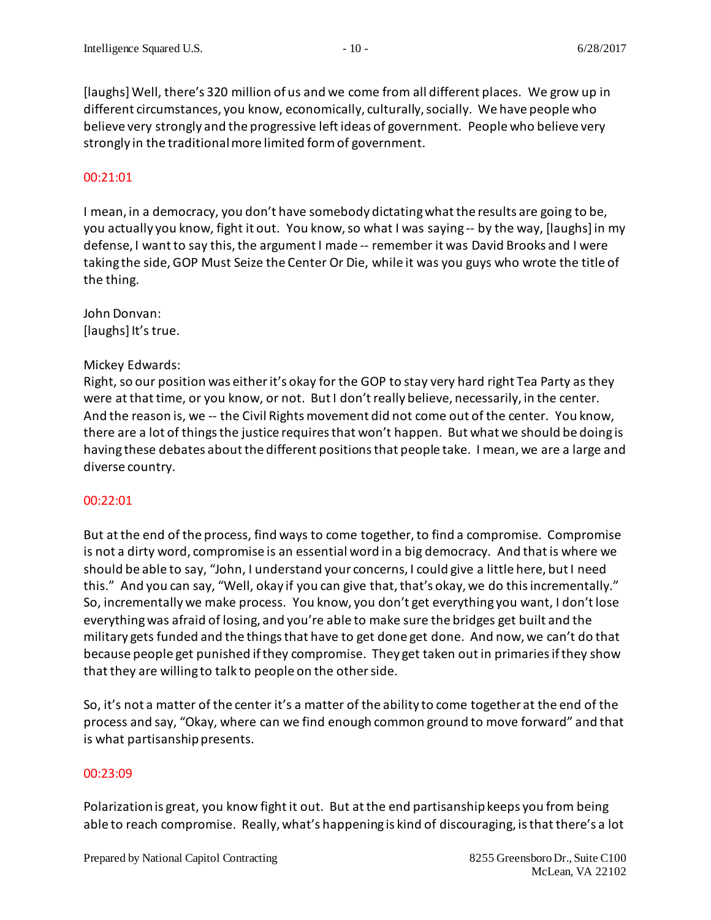[laughs] Well, there's 320 million of us and we come from all different places. We grow up in different circumstances, you know, economically, culturally, socially. We have people who believe very strongly and the progressive left ideas of government. People who believe very strongly in the traditional more limited form of government.

#### 00:21:01

I mean, in a democracy, you don't have somebody dictating what the results are going to be, you actually you know, fight it out. You know, so what I was saying -- by the way, [laughs] in my defense, I want to say this, the argument I made -- remember it was David Brooks and I were taking the side,GOP Must Seize the Center Or Die, while it was you guys who wrote the title of the thing.

John Donvan: [laughs] It's true.

#### Mickey Edwards:

Right, so our position was either it's okay for the GOP to stay very hard right Tea Party as they were at that time, or you know, or not. But I don't really believe, necessarily, in the center. And the reason is, we -- the Civil Rights movement did not come out of the center. You know, there are a lot of things the justice requires that won't happen. But what we should be doing is having these debates about the different positions that people take. I mean, we are a large and diverse country.

#### 00:22:01

But at the end of the process, find ways to come together, to find a compromise. Compromise is not a dirty word, compromise is an essential word in a big democracy. And that is where we should be able to say, "John, I understand your concerns, I could give a little here, but I need this." And you can say, "Well, okay if you can give that, that's okay, we do this incrementally." So, incrementally we make process. You know, you don't get everything you want, I don't lose everything was afraid of losing, and you're able to make sure the bridges get built and the military gets funded and the things that have to get done get done. And now, we can't do that because people get punished if they compromise. They get taken out in primaries if they show that they are willing to talk to people on the other side.

So, it's not a matter of the center it's a matter of the ability to come together at the end of the process and say, "Okay, where can we find enough common ground to move forward" and that is what partisanship presents.

#### 00:23:09

Polarization is great, you know fight it out. But at the end partisanship keeps you from being able to reach compromise. Really, what's happening is kind of discouraging, is that there's a lot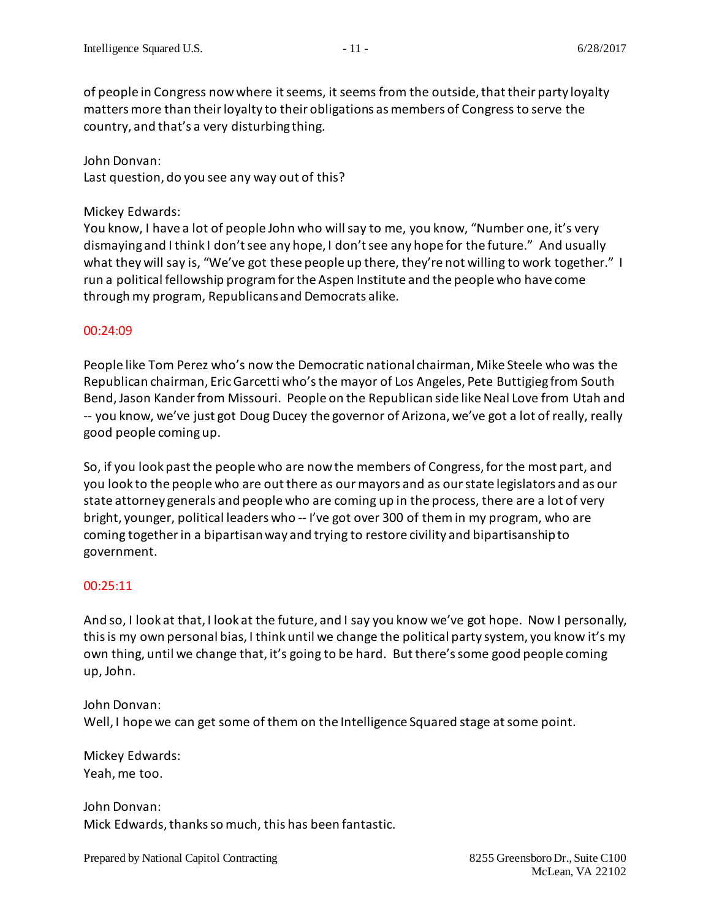of people in Congress now where it seems, it seems from the outside, that their party loyalty matters more than their loyalty to their obligations as members of Congress to serve the country, and that's a very disturbing thing.

John Donvan: Last question, do you see any way out of this?

#### Mickey Edwards:

You know, I have a lot of people John who will say to me, you know, "Number one, it's very dismaying and I think I don't see any hope, I don't see any hope for the future." And usually what they will say is, "We've got these people up there, they're not willing to work together." I run a political fellowship program for the Aspen Institute and the people who have come through my program, Republicans and Democrats alike.

#### 00:24:09

People like Tom Perez who's now the Democratic national chairman, Mike Steele who was the Republican chairman, Eric Garcetti who'sthe mayor of Los Angeles, Pete Buttigieg from South Bend, Jason Kander from Missouri. People on the Republican side like Neal Love from Utah and -- you know, we've just got Doug Ducey the governor of Arizona, we've got a lot of really, really good people coming up.

So, if you look past the people who are now the members of Congress,for the most part, and you look to the people who are out there as our mayors and as our state legislators and as our state attorney generals and people who are coming up in the process, there are a lot of very bright, younger, political leaders who -- I've got over 300 of them in my program, who are coming together in a bipartisan way and trying to restore civility and bipartisanship to government.

# 00:25:11

And so, I look at that, I look at the future, and I say you know we've got hope. Now I personally, this is my own personal bias, I think until we change the political party system, you know it's my own thing, until we change that, it's going to be hard. But there's some good people coming up, John.

#### John Donvan:

Well, I hope we can get some of them on the Intelligence Squared stage at some point.

Mickey Edwards: Yeah, me too.

John Donvan: Mick Edwards, thanks so much, this has been fantastic.